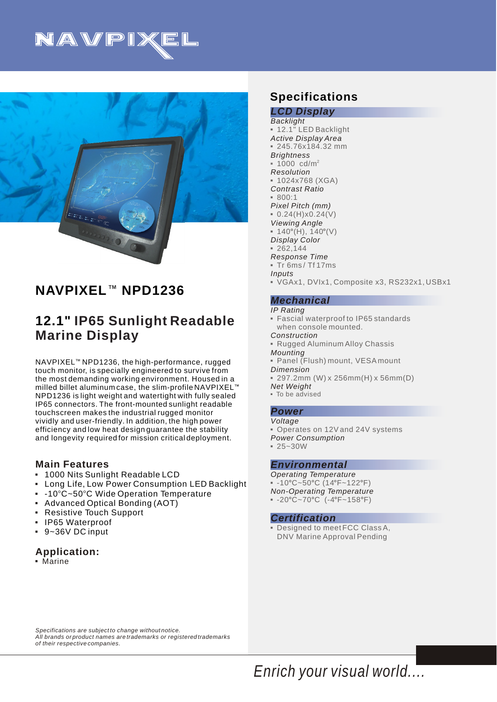



# **NAVPIXEL<sup>™</sup> NPD1236**

# **12.1" IP65 Sunlight Readable Marine Display**

NAVPIXEL<sup>™</sup> NPD1236, the high-performance, rugged touch monitor, is specially engineered to survive from the most demanding working environment. Housed in a milled billet aluminum case, the slim-profile NAVPIXEL $^{\scriptscriptstyle\rm I\hspace{-1pt}I\hspace{-1pt}I}$ NPD1236 is light weight and watertight with fully sealed IP65 connectors. The front-mounted sunlight readable touchscreen makes the industrial rugged monitor vividly and user-friendly. In addition, the high power efficiency and low heat design guarantee the stability and longevity required for mission critical deployment.

## **Main Features**

- 1000 Nits Sunlight Readable LCD 3
- **-** Long Life, Low Power Consumption LED Backlight
- $\,$  -10°C~50°C Wide Operation Temperature
- Advanced Optical Bonding (AOT) 3
- Resistive Touch Support 3
- IP65 Waterproof 3
- 9~36V DC input 3

## **Application:**

3Marine

# **Specifications**

#### *LCD Display Backlight Active Display Area Brightness Resolution Contrast Ratio Pixel Pitch (mm) Viewing Angle Display Color Response Time Inputs* 3 12.1" LED Backlight 3 245.76x184.32 mm 2 1000 cd/m 3  $-1024x768$  (XGA)  $800:1$  $= 0.24(H)x0.24(V)$  $\bullet$  140°(H), 140°(V)  $-262,144$ 3 Tr 6ms / Tf 17ms 3VGAx1, DVIx1, Composite x3, RS232x1, USBx1

### *Mechanical*

#### *IP Rating*

- 3Fascial waterproof to IP65 standards when console mounted.
- *Construction*
- *Mounting* **Rugged Aluminum Alloy Chassis**
- *Dimension*  3Panel (Flush) mount, VESA mount
	-
- 3 297.2mm (W) x 256mm(H) x 56mm(D)
- *Net Weight* • To be advised

### *Power*

- *Voltage*
- Operates on 12V and 24V systems
- *Power Consumption*
- $= 25 30W$

### *Environmental*

- *Operating Temperature Non-Operating Temperature*  $-10^{\circ}$ C~50°C (14°F~122°F)
- $-20^{\circ}$ C~70°C (-4°F~158°F)

#### *Certification*

3Designed to meet FCC Class A, DNV Marine Approval Pending

*Specifications are subject to change without notice. All brands or product names are trademarks or registered trademarks of their respective companies.*

*Enrich your visual world....*